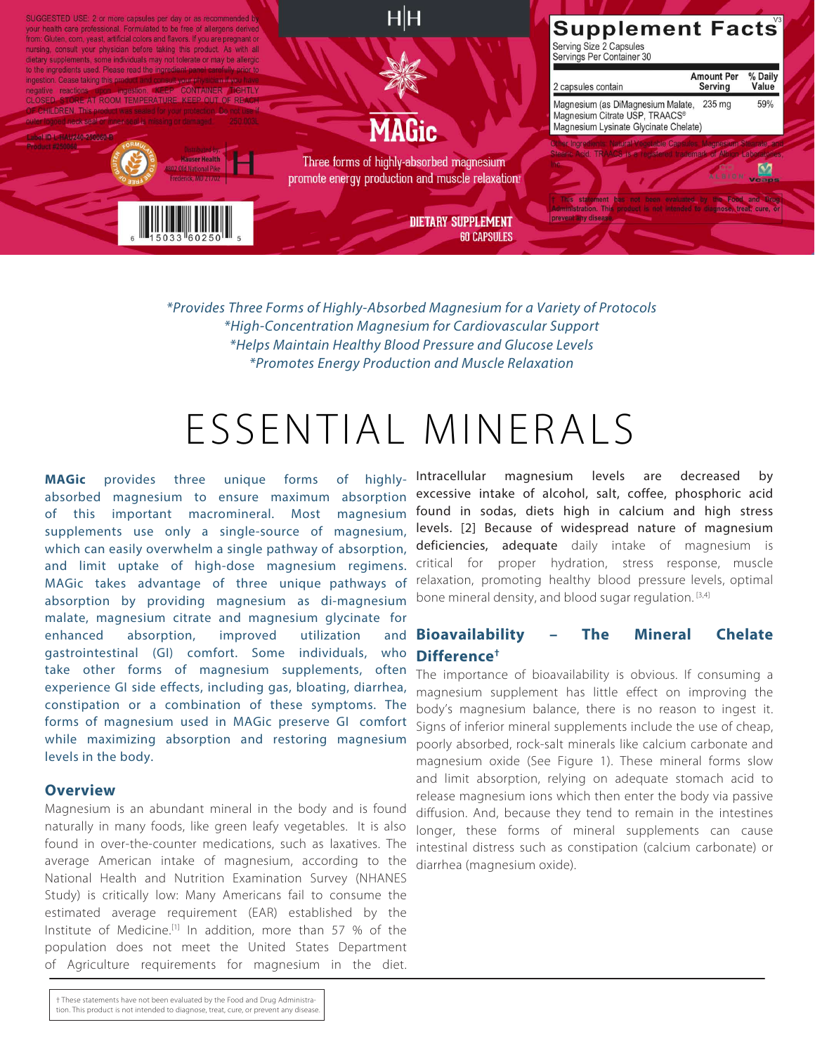

\**Provides Three Forms of Highly-Absorbed Magnesium for a Variety of Protocols* \**High-Concentration Magnesium for Cardiovascular Support* \**Helps Maintain Healthy Blood Pressure and Glucose Levels* \**Promotes Energy Production and Muscle Relaxation*

# ESSENTIAL MINERALS

**MAGic** provides three unique forms of highlyabsorbed magnesium to ensure maximum absorption of this important macromineral. Most magnesium supplements use only a single-source of magnesium, which can easily overwhelm a single pathway of absorption, and limit uptake of high-dose magnesium regimens. MAGic takes advantage of three unique pathways of absorption by providing magnesium as di-magnesium malate, magnesium citrate and magnesium glycinate for enhanced absorption, improved utilization and gastrointestinal (GI) comfort. Some individuals, who take other forms of magnesium supplements, often experience GI side effects, including gas, bloating, diarrhea, constipation or a combination of these symptoms. The forms of magnesium used in MAGic preserve GI comfort while maximizing absorption and restoring magnesium levels in the body.

#### **Overview**

Magnesium is an abundant mineral in the body and is found naturally in many foods, like green leafy vegetables. It is also found in over-the-counter medications, such as laxatives. The average American intake of magnesium, according to the National Health and Nutrition Examination Survey (NHANES Study) is critically low: Many Americans fail to consume the estimated average requirement (EAR) established by the Institute of Medicine.[1] In addition, more than 57 % of the population does not meet the United States Department of Agriculture requirements for magnesium in the diet.

† These statements have not been evaluated by the Food and Drug Administration. This product is not intended to diagnose, treat, cure, or prevent any disease. Intracellular magnesium levels are decreased by excessive intake of alcohol, salt, coffee, phosphoric acid found in sodas, diets high in calcium and high stress levels. [2] Because of widespread nature of magnesium deficiencies, adequate daily intake of magnesium is critical for proper hydration, stress response, muscle relaxation, promoting healthy blood pressure levels, optimal bone mineral density, and blood sugar regulation. [3,4]

### **Bioavailability – The Mineral Chelate Difference†**

The importance of bioavailability is obvious. If consuming a magnesium supplement has little effect on improving the body's magnesium balance, there is no reason to ingest it. Signs of inferior mineral supplements include the use of cheap, poorly absorbed, rock-salt minerals like calcium carbonate and magnesium oxide (See Figure 1). These mineral forms slow and limit absorption, relying on adequate stomach acid to release magnesium ions which then enter the body via passive diffusion. And, because they tend to remain in the intestines longer, these forms of mineral supplements can cause intestinal distress such as constipation (calcium carbonate) or diarrhea (magnesium oxide).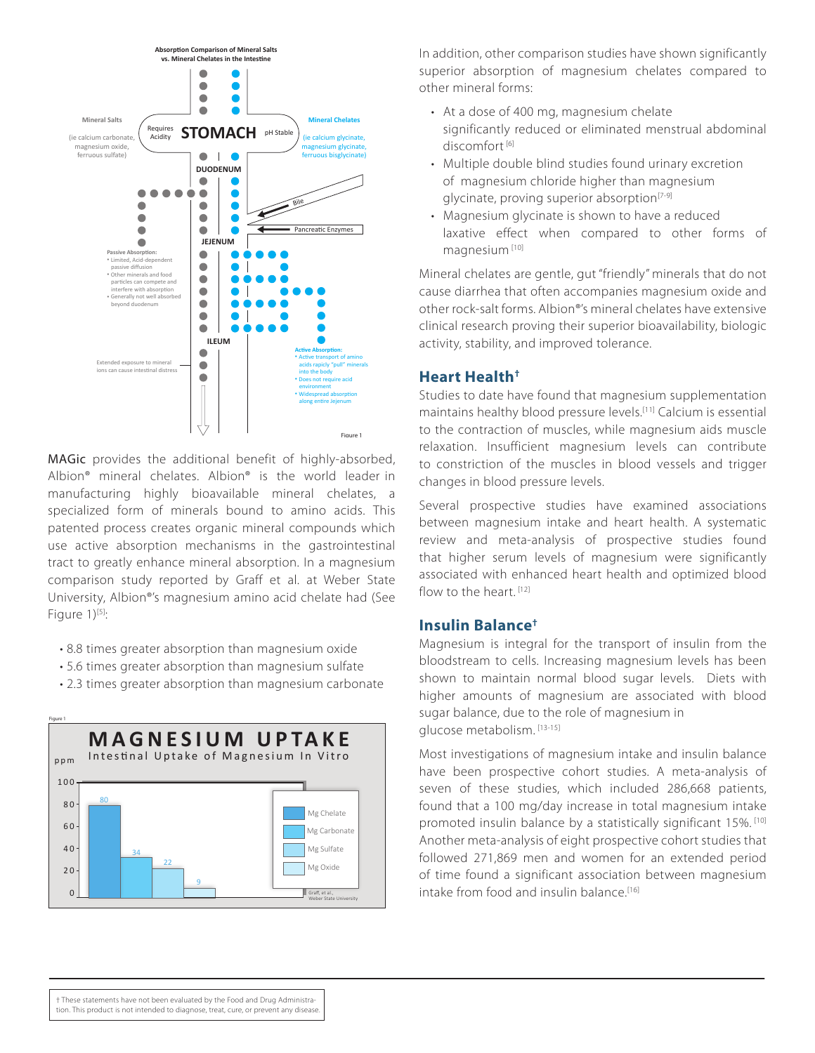

MAGic provides the additional benefit of highly-absorbed, Albion® mineral chelates. Albion® is the world leader in manufacturing highly bioavailable mineral chelates, a specialized form of minerals bound to amino acids. This patented process creates organic mineral compounds which use active absorption mechanisms in the gastrointestinal tract to greatly enhance mineral absorption. In a magnesium comparison study reported by Graff et al. at Weber State University, Albion®'s magnesium amino acid chelate had (See Figure  $1$ <sup>[5]</sup>:

- 8.8 times greater absorption than magnesium oxide
- 5.6 times greater absorption than magnesium sulfate
- 2.3 times greater absorption than magnesium carbonate



In addition, other comparison studies have shown significantly superior absorption of magnesium chelates compared to other mineral forms:

- At a dose of 400 mg, magnesium chelate significantly reduced or eliminated menstrual abdominal discomfort [6]
- Multiple double blind studies found urinary excretion of magnesium chloride higher than magnesium glycinate, proving superior absorption<sup>[7-9]</sup>
- Magnesium glycinate is shown to have a reduced laxative effect when compared to other forms of magnesium [10]

Mineral chelates are gentle, gut "friendly" minerals that do not cause diarrhea that often accompanies magnesium oxide and other rock-salt forms. Albion®'s mineral chelates have extensive clinical research proving their superior bioavailability, biologic activity, stability, and improved tolerance.

#### **Heart Health†**

Studies to date have found that magnesium supplementation maintains healthy blood pressure levels.[11] Calcium is essential to the contraction of muscles, while magnesium aids muscle relaxation. Insufficient magnesium levels can contribute to constriction of the muscles in blood vessels and trigger changes in blood pressure levels.

Several prospective studies have examined associations between magnesium intake and heart health. A systematic review and meta-analysis of prospective studies found that higher serum levels of magnesium were significantly associated with enhanced heart health and optimized blood flow to the heart. [12]

#### **Insulin Balance†**

Magnesium is integral for the transport of insulin from the bloodstream to cells. Increasing magnesium levels has been shown to maintain normal blood sugar levels. Diets with higher amounts of magnesium are associated with blood sugar balance, due to the role of magnesium in glucose metabolism. [13-15]

Most investigations of magnesium intake and insulin balance have been prospective cohort studies. A meta-analysis of seven of these studies, which included 286,668 patients, found that a 100 mg/day increase in total magnesium intake promoted insulin balance by a statistically significant 15%. [10] Another meta-analysis of eight prospective cohort studies that followed 271,869 men and women for an extended period of time found a significant association between magnesium intake from food and insulin balance.<sup>[16]</sup>